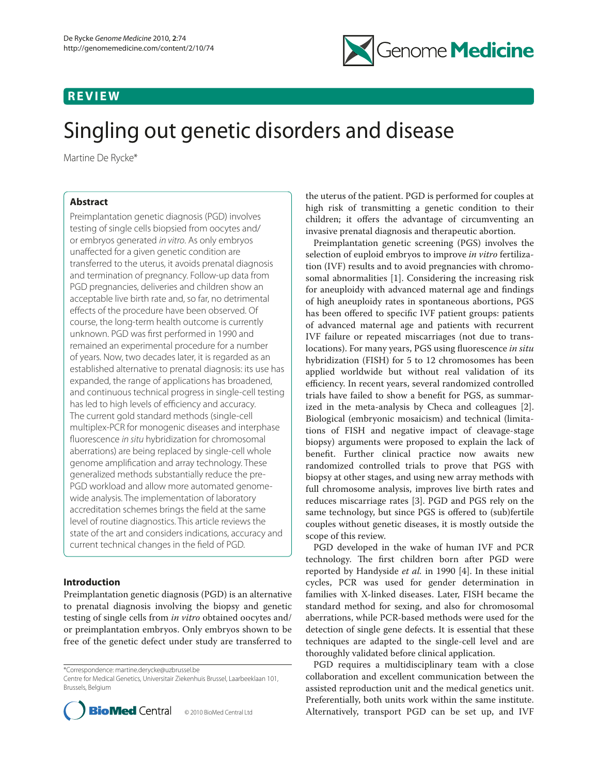## **REVIEW**



# Singling out genetic disorders and disease

Martine De Rycke\*

## **Abstract**

Preimplantation genetic diagnosis (PGD) involves testing of single cells biopsied from oocytes and/ or embryos generated *in vitro*. As only embryos unaffected for a given genetic condition are transferred to the uterus, it avoids prenatal diagnosis and termination of pregnancy. Follow-up data from PGD pregnancies, deliveries and children show an acceptable live birth rate and, so far, no detrimental effects of the procedure have been observed. Of course, the long-term health outcome is currently unknown. PGD was first performed in 1990 and remained an experimental procedure for a number of years. Now, two decades later, it is regarded as an established alternative to prenatal diagnosis: its use has expanded, the range of applications has broadened, and continuous technical progress in single-cell testing has led to high levels of efficiency and accuracy. The current gold standard methods (single-cell multiplex-PCR for monogenic diseases and interphase fluorescence *in situ* hybridization for chromosomal aberrations) are being replaced by single-cell whole genome amplification and array technology. These generalized methods substantially reduce the pre-PGD workload and allow more automated genomewide analysis. The implementation of laboratory accreditation schemes brings the field at the same level of routine diagnostics. This article reviews the state of the art and considers indications, accuracy and current technical changes in the field of PGD.

## **Introduction**

Preimplantation genetic diagnosis (PGD) is an alternative to prenatal diagnosis involving the biopsy and genetic testing of single cells from *in vitro* obtained oocytes and/ or preimplantation embryos. Only embryos shown to be free of the genetic defect under study are transferred to

\*Correspondence: martine.derycke@uzbrussel.be

Centre for Medical Genetics, Universitair Ziekenhuis Brussel, Laarbeeklaan 101, Brussels, Belgium



the uterus of the patient. PGD is performed for couples at high risk of transmitting a genetic condition to their children; it offers the advantage of circumventing an invasive prenatal diagnosis and therapeutic abortion.

Preimplantation genetic screening (PGS) involves the selection of euploid embryos to improve *in vitro* fertilization (IVF) results and to avoid pregnancies with chromosomal abnormalities [1]. Considering the increasing risk for aneuploidy with advanced maternal age and findings of high aneuploidy rates in spontaneous abortions, PGS has been offered to specific IVF patient groups: patients of advanced maternal age and patients with recurrent IVF failure or repeated miscarriages (not due to translocations). For many years, PGS using fluorescence *in situ* hybridization (FISH) for 5 to 12 chromosomes has been applied worldwide but without real validation of its efficiency. In recent years, several randomized controlled trials have failed to show a benefit for PGS, as summarized in the meta-analysis by Checa and colleagues [2]. Biological (embryonic mosaicism) and technical (limitations of FISH and negative impact of cleavage-stage biopsy) arguments were proposed to explain the lack of benefit. Further clinical practice now awaits new randomized controlled trials to prove that PGS with biopsy at other stages, and using new array methods with full chromosome analysis, improves live birth rates and reduces miscarriage rates [3]. PGD and PGS rely on the same technology, but since PGS is offered to (sub)fertile couples without genetic diseases, it is mostly outside the scope of this review.

PGD developed in the wake of human IVF and PCR technology. The first children born after PGD were reported by Handyside *et al.* in 1990 [4]. In these initial cycles, PCR was used for gender determination in families with X-linked diseases. Later, FISH became the standard method for sexing, and also for chromosomal aberrations, while PCR-based methods were used for the detection of single gene defects. It is essential that these techniques are adapted to the single-cell level and are thoroughly validated before clinical application.

PGD requires a multidisciplinary team with a close collaboration and excellent communication between the assisted reproduction unit and the medical genetics unit. Preferentially, both units work within the same institute. Alternatively, transport PGD can be set up, and IVF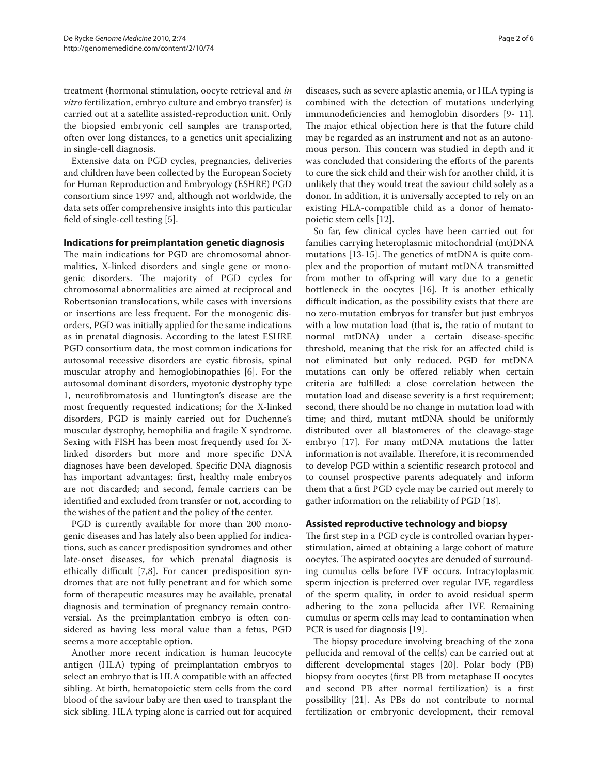treatment (hormonal stimulation, oocyte retrieval and *in vitro* fertilization, embryo culture and embryo transfer) is carried out at a satellite assisted-reproduction unit. Only the biopsied embryonic cell samples are transported, often over long distances, to a genetics unit specializing in single-cell diagnosis.

Extensive data on PGD cycles, pregnancies, deliveries and children have been collected by the European Society for Human Reproduction and Embryology (ESHRE) PGD consortium since 1997 and, although not worldwide, the data sets offer comprehensive insights into this particular field of single-cell testing [5].

#### **Indications for preimplantation genetic diagnosis**

The main indications for PGD are chromosomal abnormalities, X-linked disorders and single gene or monogenic disorders. The majority of PGD cycles for chromosomal abnormalities are aimed at reciprocal and Robertsonian translocations, while cases with inversions or insertions are less frequent. For the monogenic disorders, PGD was initially applied for the same indications as in prenatal diagnosis. According to the latest ESHRE PGD consortium data, the most common indications for autosomal recessive disorders are cystic fibrosis, spinal muscular atrophy and hemoglobinopathies [6]. For the autosomal dominant disorders, myotonic dystrophy type 1, neurofibromatosis and Huntington's disease are the most frequently requested indications; for the X-linked disorders, PGD is mainly carried out for Duchenne's muscular dystrophy, hemophilia and fragile X syndrome. Sexing with FISH has been most frequently used for Xlinked disorders but more and more specific DNA diagnoses have been developed. Specific DNA diagnosis has important advantages: first, healthy male embryos are not discarded; and second, female carriers can be identified and excluded from transfer or not, according to the wishes of the patient and the policy of the center.

PGD is currently available for more than 200 monogenic diseases and has lately also been applied for indications, such as cancer predisposition syndromes and other late-onset diseases, for which prenatal diagnosis is ethically difficult [7,8]. For cancer predisposition syndromes that are not fully penetrant and for which some form of therapeutic measures may be available, prenatal diagnosis and termination of pregnancy remain controversial. As the preimplantation embryo is often considered as having less moral value than a fetus, PGD seems a more acceptable option.

Another more recent indication is human leucocyte antigen (HLA) typing of preimplantation embryos to select an embryo that is HLA compatible with an affected sibling. At birth, hematopoietic stem cells from the cord blood of the saviour baby are then used to transplant the sick sibling. HLA typing alone is carried out for acquired diseases, such as severe aplastic anemia, or HLA typing is combined with the detection of mutations underlying immunodeficiencies and hemoglobin disorders [9- 11]. The major ethical objection here is that the future child may be regarded as an instrument and not as an autonomous person. This concern was studied in depth and it was concluded that considering the efforts of the parents to cure the sick child and their wish for another child, it is unlikely that they would treat the saviour child solely as a donor. In addition, it is universally accepted to rely on an existing HLA-compatible child as a donor of hematopoietic stem cells [12].

So far, few clinical cycles have been carried out for families carrying heteroplasmic mitochondrial (mt)DNA mutations [13-15]. The genetics of mtDNA is quite complex and the proportion of mutant mtDNA transmitted from mother to offspring will vary due to a genetic bottleneck in the oocytes [16]. It is another ethically difficult indication, as the possibility exists that there are no zero-mutation embryos for transfer but just embryos with a low mutation load (that is, the ratio of mutant to normal mtDNA) under a certain disease-specific threshold, meaning that the risk for an affected child is not eliminated but only reduced. PGD for mtDNA mutations can only be offered reliably when certain criteria are fulfilled: a close correlation between the mutation load and disease severity is a first requirement; second, there should be no change in mutation load with time; and third, mutant mtDNA should be uniformly distributed over all blastomeres of the cleavage-stage embryo [17]. For many mtDNA mutations the latter information is not available. Therefore, it is recommended to develop PGD within a scientific research protocol and to counsel prospective parents adequately and inform them that a first PGD cycle may be carried out merely to gather information on the reliability of PGD [18].

#### **Assisted reproductive technology and biopsy**

The first step in a PGD cycle is controlled ovarian hyperstimulation, aimed at obtaining a large cohort of mature oocytes. The aspirated oocytes are denuded of surrounding cumulus cells before IVF occurs. Intracytoplasmic sperm injection is preferred over regular IVF, regardless of the sperm quality, in order to avoid residual sperm adhering to the zona pellucida after IVF. Remaining cumulus or sperm cells may lead to contamination when PCR is used for diagnosis [19].

The biopsy procedure involving breaching of the zona pellucida and removal of the cell(s) can be carried out at different developmental stages [20]. Polar body (PB) biopsy from oocytes (first PB from metaphase II oocytes and second PB after normal fertilization) is a first possibility [21]. As PBs do not contribute to normal fertilization or embryonic development, their removal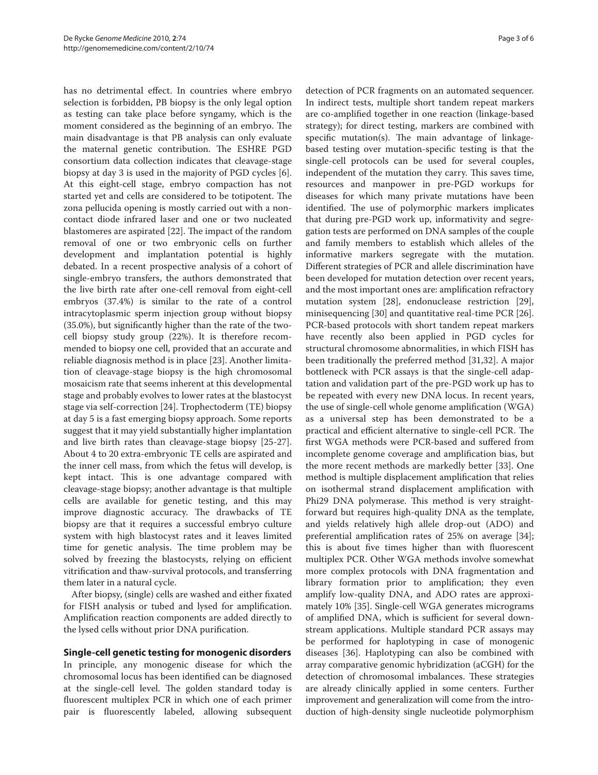has no detrimental effect. In countries where embryo selection is forbidden, PB biopsy is the only legal option as testing can take place before syngamy, which is the moment considered as the beginning of an embryo. The main disadvantage is that PB analysis can only evaluate the maternal genetic contribution. The ESHRE PGD consortium data collection indicates that cleavage-stage biopsy at day 3 is used in the majority of PGD cycles [6]. At this eight-cell stage, embryo compaction has not started yet and cells are considered to be totipotent. The zona pellucida opening is mostly carried out with a noncontact diode infrared laser and one or two nucleated blastomeres are aspirated [22]. The impact of the random removal of one or two embryonic cells on further development and implantation potential is highly debated. In a recent prospective analysis of a cohort of single-embryo transfers, the authors demonstrated that the live birth rate after one-cell removal from eight-cell embryos (37.4%) is similar to the rate of a control intracytoplasmic sperm injection group without biopsy (35.0%), but significantly higher than the rate of the twocell biopsy study group (22%). It is therefore recommended to biopsy one cell, provided that an accurate and reliable diagnosis method is in place [23]. Another limitation of cleavage-stage biopsy is the high chromosomal mosaicism rate that seems inherent at this developmental stage and probably evolves to lower rates at the blastocyst stage via self-correction [24]. Trophectoderm (TE) biopsy at day 5 is a fast emerging biopsy approach. Some reports suggest that it may yield substantially higher implantation and live birth rates than cleavage-stage biopsy [25-27]. About 4 to 20 extra-embryonic TE cells are aspirated and the inner cell mass, from which the fetus will develop, is kept intact. This is one advantage compared with cleavage-stage biopsy; another advantage is that multiple cells are available for genetic testing, and this may improve diagnostic accuracy. The drawbacks of TE biopsy are that it requires a successful embryo culture system with high blastocyst rates and it leaves limited time for genetic analysis. The time problem may be solved by freezing the blastocysts, relying on efficient vitrification and thaw-survival protocols, and transferring them later in a natural cycle.

After biopsy, (single) cells are washed and either fixated for FISH analysis or tubed and lysed for amplification. Amplification reaction components are added directly to the lysed cells without prior DNA purification.

#### **Single-cell genetic testing for monogenic disorders**

In principle, any monogenic disease for which the chromosomal locus has been identified can be diagnosed at the single-cell level. The golden standard today is fluorescent multiplex PCR in which one of each primer pair is fluorescently labeled, allowing subsequent detection of PCR fragments on an automated sequencer. In indirect tests, multiple short tandem repeat markers are co-amplified together in one reaction (linkage-based strategy); for direct testing, markers are combined with specific mutation(s). The main advantage of linkagebased testing over mutation-specific testing is that the single-cell protocols can be used for several couples, independent of the mutation they carry. This saves time, resources and manpower in pre-PGD workups for diseases for which many private mutations have been identified. The use of polymorphic markers implicates that during pre-PGD work up, informativity and segregation tests are performed on DNA samples of the couple and family members to establish which alleles of the informative markers segregate with the mutation. Different strategies of PCR and allele discrimination have been developed for mutation detection over recent years, and the most important ones are: amplification refractory mutation system [28], endonuclease restriction [29], minisequencing [30] and quantitative real-time PCR [26]. PCR-based protocols with short tandem repeat markers have recently also been applied in PGD cycles for structural chromosome abnormalities, in which FISH has been traditionally the preferred method [31,32]. A major bottleneck with PCR assays is that the single-cell adaptation and validation part of the pre-PGD work up has to be repeated with every new DNA locus. In recent years, the use of single-cell whole genome amplification (WGA) as a universal step has been demonstrated to be a practical and efficient alternative to single-cell PCR. The first WGA methods were PCR-based and suffered from incomplete genome coverage and amplification bias, but the more recent methods are markedly better [33]. One method is multiple displacement amplification that relies on isothermal strand displacement amplification with Phi29 DNA polymerase. This method is very straightforward but requires high-quality DNA as the template, and yields relatively high allele drop-out (ADO) and preferential amplification rates of 25% on average [34]; this is about five times higher than with fluorescent multiplex PCR. Other WGA methods involve somewhat more complex protocols with DNA fragmentation and library formation prior to amplification; they even amplify low-quality DNA, and ADO rates are approximately 10% [35]. Single-cell WGA generates micrograms of amplified DNA, which is sufficient for several downstream applications. Multiple standard PCR assays may be performed for haplotyping in case of monogenic diseases [36]. Haplotyping can also be combined with array comparative genomic hybridization (aCGH) for the detection of chromosomal imbalances. These strategies are already clinically applied in some centers. Further improvement and generalization will come from the introduction of high-density single nucleotide polymorphism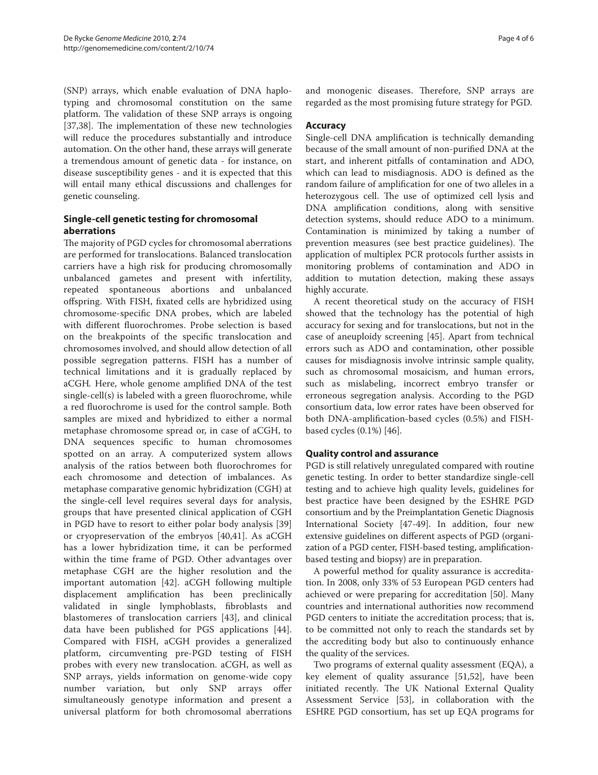(SNP) arrays, which enable evaluation of DNA haplotyping and chromosomal constitution on the same platform. The validation of these SNP arrays is ongoing [37,38]. The implementation of these new technologies will reduce the procedures substantially and introduce automation. On the other hand, these arrays will generate a tremendous amount of genetic data - for instance, on disease susceptibility genes - and it is expected that this will entail many ethical discussions and challenges for genetic counseling.

## **Single-cell genetic testing for chromosomal aberrations**

The majority of PGD cycles for chromosomal aberrations are performed for translocations. Balanced translocation carriers have a high risk for producing chromosomally unbalanced gametes and present with infertility, repeated spontaneous abortions and unbalanced offspring. With FISH, fixated cells are hybridized using chromosome-specific DNA probes, which are labeled with different fluorochromes. Probe selection is based on the breakpoints of the specific translocation and chromosomes involved, and should allow detection of all possible segregation patterns. FISH has a number of technical limitations and it is gradually replaced by aCGH*.* Here, whole genome amplified DNA of the test single-cell(s) is labeled with a green fluorochrome, while a red fluorochrome is used for the control sample. Both samples are mixed and hybridized to either a normal metaphase chromosome spread or, in case of aCGH, to DNA sequences specific to human chromosomes spotted on an array. A computerized system allows analysis of the ratios between both fluorochromes for each chromosome and detection of imbalances. As metaphase comparative genomic hybridization (CGH) at the single-cell level requires several days for analysis, groups that have presented clinical application of CGH in PGD have to resort to either polar body analysis [39] or cryopreservation of the embryos [40,41]. As aCGH has a lower hybridization time, it can be performed within the time frame of PGD. Other advantages over metaphase CGH are the higher resolution and the important automation [42]. aCGH following multiple displacement amplification has been preclinically validated in single lymphoblasts, fibroblasts and blastomeres of translocation carriers [43], and clinical data have been published for PGS applications [44]. Compared with FISH, aCGH provides a generalized platform, circumventing pre-PGD testing of FISH probes with every new translocation. aCGH, as well as SNP arrays, yields information on genome-wide copy number variation, but only SNP arrays offer simultaneously genotype information and present a universal platform for both chromosomal aberrations

and monogenic diseases. Therefore, SNP arrays are regarded as the most promising future strategy for PGD.

## **Accuracy**

Single-cell DNA amplification is technically demanding because of the small amount of non-purified DNA at the start, and inherent pitfalls of contamination and ADO, which can lead to misdiagnosis. ADO is defined as the random failure of amplification for one of two alleles in a heterozygous cell. The use of optimized cell lysis and DNA amplification conditions, along with sensitive detection systems, should reduce ADO to a minimum. Contamination is minimized by taking a number of prevention measures (see best practice guidelines). The application of multiplex PCR protocols further assists in monitoring problems of contamination and ADO in addition to mutation detection, making these assays highly accurate.

A recent theoretical study on the accuracy of FISH showed that the technology has the potential of high accuracy for sexing and for translocations, but not in the case of aneuploidy screening [45]. Apart from technical errors such as ADO and contamination, other possible causes for misdiagnosis involve intrinsic sample quality, such as chromosomal mosaicism, and human errors, such as mislabeling, incorrect embryo transfer or erroneous segregation analysis. According to the PGD consortium data, low error rates have been observed for both DNA-amplification-based cycles (0.5%) and FISHbased cycles (0.1%) [46].

## **Quality control and assurance**

PGD is still relatively unregulated compared with routine genetic testing. In order to better standardize single-cell testing and to achieve high quality levels, guidelines for best practice have been designed by the ESHRE PGD consortium and by the Preimplantation Genetic Diagnosis International Society [47-49]. In addition, four new extensive guidelines on different aspects of PGD (organization of a PGD center, FISH-based testing, amplificationbased testing and biopsy) are in preparation.

A powerful method for quality assurance is accreditation. In 2008, only 33% of 53 European PGD centers had achieved or were preparing for accreditation [50]. Many countries and international authorities now recommend PGD centers to initiate the accreditation process; that is, to be committed not only to reach the standards set by the accrediting body but also to continuously enhance the quality of the services.

Two programs of external quality assessment (EQA), a key element of quality assurance [51,52], have been initiated recently. The UK National External Quality Assessment Service [53], in collaboration with the ESHRE PGD consortium, has set up EQA programs for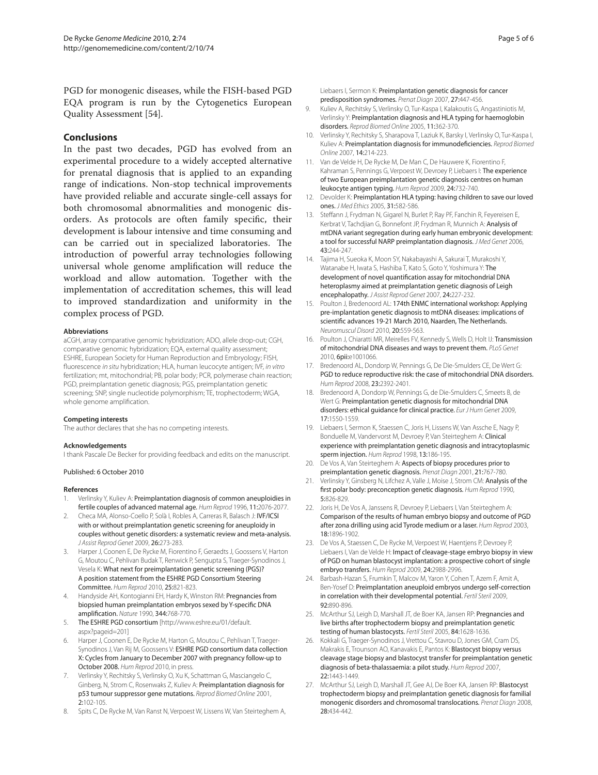PGD for monogenic diseases, while the FISH-based PGD EQA program is run by the Cytogenetics European Quality Assessment [54].

### **Conclusions**

In the past two decades, PGD has evolved from an experimental procedure to a widely accepted alternative for prenatal diagnosis that is applied to an expanding range of indications. Non-stop technical improvements have provided reliable and accurate single-cell assays for both chromosomal abnormalities and monogenic disorders. As protocols are often family specific, their development is labour intensive and time consuming and can be carried out in specialized laboratories. The introduction of powerful array technologies following universal whole genome amplification will reduce the workload and allow automation. Together with the implementation of accreditation schemes, this will lead to improved standardization and uniformity in the complex process of PGD.

#### **Abbreviations**

aCGH, array comparative genomic hybridization; ADO, allele drop-out; CGH, comparative genomic hybridization; EQA, external quality assessment; ESHRE, European Society for Human Reproduction and Embryology; FISH, fluorescence *in situ* hybridization; HLA, human leucocyte antigen; IVF, *in vitro* fertilization; mt, mitochondrial; PB, polar body; PCR, polymerase chain reaction; PGD, preimplantation genetic diagnosis; PGS, preimplantation genetic screening; SNP, single nucleotide polymorphism; TE, trophectoderm; WGA, whole genome amplification.

#### **Competing interests**

The author declares that she has no competing interests.

#### **Acknowledgements**

I thank Pascale De Becker for providing feedback and edits on the manuscript.

#### Published: 6 October 2010

#### **References**

- 1. Verlinsky Y, Kuliev A: Preimplantation diagnosis of common aneuploidies in fertile couples of advanced maternal age. *Hum Reprod* 1996, 11:2076-2077.
- 2. Checa MA, Alonso-Coello P, Solà I, Robles A, Carreras R, Balasch J: IVF/ICSI with or without preimplantation genetic screening for aneuploidy in couples without genetic disorders: a systematic review and meta-analysis. *J Assist Reprod Genet* 2009, 26:273-283.
- Harper J, Coonen E, De Rycke M, Fiorentino F, Geraedts J, Goossens V, Harton G, Moutou C, Pehlivan Budak T, Renwick P, Sengupta S, Traeger-Synodinos J, Vesela K: What next for preimplantation genetic screening (PGS)? A position statement from the ESHRE PGD Consortium Steering Committee. *Hum Reprod* 2010, 25:821-823.
- Handyside AH, Kontogianni EH, Hardy K, Winston RM: Pregnancies from biopsied human preimplantation embryos sexed by Y-specific DNA amplification. *Nature* 1990, 344:768-770.
- The ESHRE PGD consortium [http://www.eshre.eu/01/default. aspx?pageid=201]
- 6. Harper J, Coonen E, De Rycke M, Harton G, Moutou C, Pehlivan T, Traeger-Synodinos J, Van Rij M, Goossens V: ESHRE PGD consortium data collection X: Cycles from January to December 2007 with pregnancy follow-up to October 2008. *Hum Reprod* 2010, in press.
- 7. Verlinsky Y, Rechitsky S, Verlinsky O, Xu K, Schattman G, Masciangelo C, Ginberg, N, Strom C, Rosenwaks Z, Kuliev A: Preimplantation diagnosis for p53 tumour suppressor gene mutations. *Reprod Biomed Online* 2001, 2:102-105.
- 8. Spits C, De Rycke M, Van Ranst N, Verpoest W, Lissens W, Van Steirteghem A,

Liebaers I, Sermon K: Preimplantation genetic diagnosis for cancer predisposition syndromes. *Prenat Diagn* 2007, 27:447-456.

- 9. Kuliev A, Rechitsky S, Verlinsky O, Tur-Kaspa I, Kalakoutis G, Angastiniotis M, Verlinsky Y: Preimplantation diagnosis and HLA typing for haemoglobin disorders. *Reprod Biomed Online* 2005, 11:362-370.
- 10. Verlinsky Y, Rechitsky S, Sharapova T, Laziuk K, Barsky I, Verlinsky O, Tur-Kaspa I, Kuliev A: Preimplantation diagnosis for immunodeficiencies. *Reprod Biomed Online* 2007, 14:214-223.
- 11. Van de Velde H, De Rycke M, De Man C, De Hauwere K, Fiorentino F, Kahraman S, Pennings G, Verpoest W, Devroey P, Liebaers I: The experience of two European preimplantation genetic diagnosis centres on human leukocyte antigen typing. *Hum Reprod* 2009, 24:732-740.
- 12. Devolder K: Preimplantation HLA typing: having children to save our loved ones. *J Med Ethics* 2005, 31:582-586.
- 13. Steffann J, Frydman N, Gigarel N, Burlet P, Ray PF, Fanchin R, Feyereisen E, Kerbrat V, Tachdjian G, Bonnefont JP, Frydman R, Munnich A: Analysis of mtDNA variant segregation during early human embryonic development: a tool for successful NARP preimplantation diagnosis. *J Med Genet* 2006, 43:244-247.
- 14. Tajima H, Sueoka K, Moon SY, Nakabayashi A, Sakurai T, Murakoshi Y, Watanabe H, Iwata S, Hashiba T, Kato S, Goto Y, Yoshimura Y: The development of novel quantification assay for mitochondrial DNA heteroplasmy aimed at preimplantation genetic diagnosis of Leigh encephalopathy. *J Assist Reprod Genet* 2007, 24:227-232.
- 15. Poulton J, Bredenoord AL: 174th ENMC international workshop: Applying pre-implantation genetic diagnosis to mtDNA diseases: implications of scientific advances 19-21 March 2010, Naarden, The Netherlands. *Neuromuscul Disord* 2010, 20:559-563.
- 16. Poulton J, Chiaratti MR, Meirelles FV, Kennedy S, Wells D, Holt IJ: Transmission of mitochondrial DNA diseases and ways to prevent them. *PLoS Genet* 2010, 6pii:e1001066.
- 17. Bredenoord AL, Dondorp W, Pennings G, De Die-Smulders CE, De Wert G: PGD to reduce reproductive risk: the case of mitochondrial DNA disorders. *Hum Reprod* 2008, 23:2392-2401.
- 18. Bredenoord A, Dondorp W, Pennings G, de Die-Smulders C, Smeets B, de Wert G: Preimplantation genetic diagnosis for mitochondrial DNA disorders: ethical guidance for clinical practice. *Eur J Hum Genet* 2009, 17:1550-1559.
- 19. Liebaers I, Sermon K, Staessen C, Joris H, Lissens W, Van Assche E, Nagy P, Bonduelle M, Vandervorst M, Devroey P, Van Steirteghem A: Clinical experience with preimplantation genetic diagnosis and intracytoplasmic sperm injection. *Hum Reprod* 1998, 13:186-195.
- 20. De Vos A, Van Steirteghem A: Aspects of biopsy procedures prior to preimplantation genetic diagnosis. *Prenat Diagn* 2001, 21:767-780.
- 21. Verlinsky Y, Ginsberg N, Lifchez A, Valle J, Moise J, Strom CM: Analysis of the first polar body: preconception genetic diagnosis. *Hum Reprod* 1990, 5:826-829.
- 22. Joris H, De Vos A, Janssens R, Devroey P, Liebaers I, Van Steirteghem A: Comparison of the results of human embryo biopsy and outcome of PGD after zona drilling using acid Tyrode medium or a laser. *Hum Reprod* 2003, 18:1896-1902.
- 23. De Vos A, Staessen C, De Rycke M, Verpoest W, Haentjens P, Devroey P, Liebaers I, Van de Velde H: Impact of cleavage-stage embryo biopsy in view of PGD on human blastocyst implantation: a prospective cohort of single embryo transfers. *Hum Reprod* 2009, 24:2988-2996.
- Barbash-Hazan S, Frumkin T, Malcov M, Yaron Y, Cohen T, Azem F, Amit A, Ben-Yosef D: Preimplantation aneuploid embryos undergo self-correction in correlation with their developmental potential. *Fertil Steril* 2009, 92:890-896.
- 25. McArthur SJ, Leigh D, Marshall JT, de Boer KA, Jansen RP: Pregnancies and live births after trophectoderm biopsy and preimplantation genetic testing of human blastocysts. *Fertil Steril* 2005, 84:1628-1636.
- 26. Kokkali G, Traeger-Synodinos J, Vrettou C, Stavrou D, Jones GM, Cram DS, Makrakis E, Trounson AO, Kanavakis E, Pantos K: Blastocyst biopsy versus cleavage stage biopsy and blastocyst transfer for preimplantation genetic diagnosis of beta-thalassaemia: a pilot study. *Hum Reprod* 2007, 22:1443-1449.
- 27. McArthur SJ, Leigh D, Marshall JT, Gee AJ, De Boer KA, Jansen RP: Blastocyst trophectoderm biopsy and preimplantation genetic diagnosis for familial monogenic disorders and chromosomal translocations. *Prenat Diagn* 2008, 28:434-442.